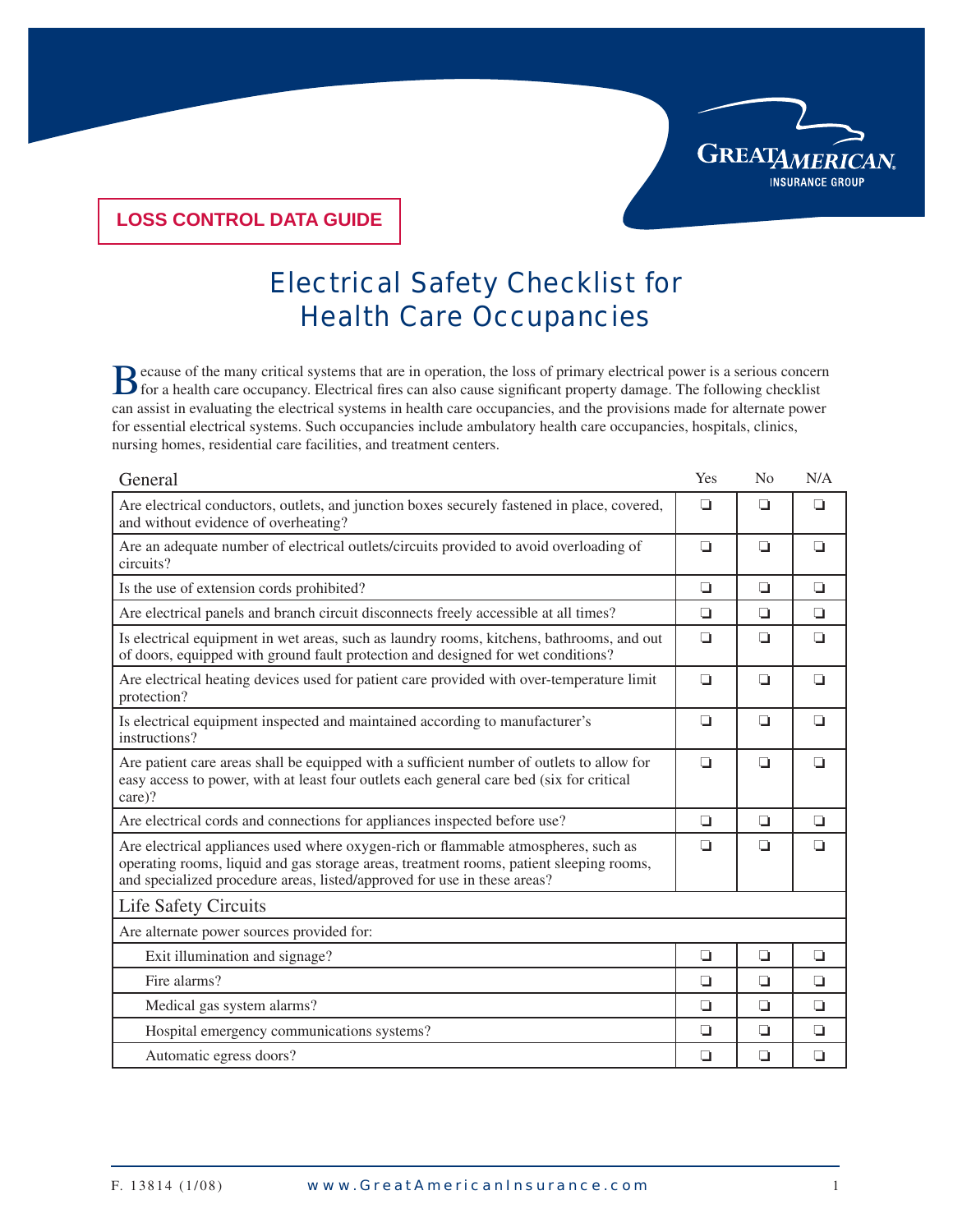## **LOSS CONTROL DATA GUIDE**

## Electrical Safety Checklist for Health Care Occupancies

B ecause of the many critical systems that are in operation, the loss of primary electrical power is a serious concern<br>of the many critical systems that are in operation, the loss of primary electrical power is a serious c can assist in evaluating the electrical systems in health care occupancies, and the provisions made for alternate power for essential electrical systems. Such occupancies include ambulatory health care occupancies, hospitals, clinics, nursing homes, residential care facilities, and treatment centers.

| General                                                                                                                                                                                                                                                   | Yes    | No     | N/A    |
|-----------------------------------------------------------------------------------------------------------------------------------------------------------------------------------------------------------------------------------------------------------|--------|--------|--------|
| Are electrical conductors, outlets, and junction boxes securely fastened in place, covered,<br>and without evidence of overheating?                                                                                                                       | $\Box$ | ◘      | $\Box$ |
| Are an adequate number of electrical outlets/circuits provided to avoid overloading of<br>circuits?                                                                                                                                                       | ◘      | $\Box$ | ◘      |
| Is the use of extension cords prohibited?                                                                                                                                                                                                                 | $\Box$ | $\Box$ | $\Box$ |
| Are electrical panels and branch circuit disconnects freely accessible at all times?                                                                                                                                                                      | ◘      | $\Box$ | $\Box$ |
| Is electrical equipment in wet areas, such as laundry rooms, kitchens, bathrooms, and out<br>of doors, equipped with ground fault protection and designed for wet conditions?                                                                             | $\Box$ | $\Box$ | $\Box$ |
| Are electrical heating devices used for patient care provided with over-temperature limit<br>protection?                                                                                                                                                  | ◘      | ◘      | ◘      |
| Is electrical equipment inspected and maintained according to manufacturer's<br>instructions?                                                                                                                                                             | $\Box$ | $\Box$ | ◘      |
| Are patient care areas shall be equipped with a sufficient number of outlets to allow for<br>easy access to power, with at least four outlets each general care bed (six for critical<br>care)?                                                           | $\Box$ | $\Box$ | $\Box$ |
| Are electrical cords and connections for appliances inspected before use?                                                                                                                                                                                 | ◘      | ◘      | ◘      |
| Are electrical appliances used where oxygen-rich or flammable atmospheres, such as<br>operating rooms, liquid and gas storage areas, treatment rooms, patient sleeping rooms,<br>and specialized procedure areas, listed/approved for use in these areas? | ◘      | ◘      | ◘      |
| <b>Life Safety Circuits</b>                                                                                                                                                                                                                               |        |        |        |
| Are alternate power sources provided for:                                                                                                                                                                                                                 |        |        |        |
| Exit illumination and signage?                                                                                                                                                                                                                            | ◘      | ◘      | ◘      |
| Fire alarms?                                                                                                                                                                                                                                              | ◘      | ◘      | ❏      |
| Medical gas system alarms?                                                                                                                                                                                                                                | ◘      | ◘      | ◘      |
| Hospital emergency communications systems?                                                                                                                                                                                                                | $\Box$ | ◘      | $\Box$ |
| Automatic egress doors?                                                                                                                                                                                                                                   | $\Box$ | $\Box$ | $\Box$ |

**GREATAMERICAN** 

**INSURANCE GROUP**